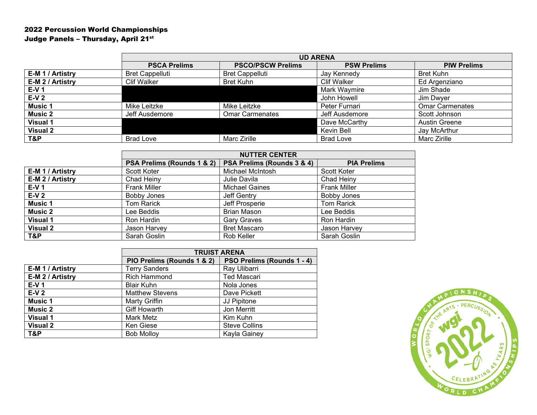## 2022 Percussion World Championships Judge Panels - Thursday, April 21st

|                      | <b>UD ARENA</b>        |                          |                    |                        |
|----------------------|------------------------|--------------------------|--------------------|------------------------|
|                      | <b>PSCA Prelims</b>    | <b>PSCO/PSCW Prelims</b> | <b>PSW Prelims</b> | <b>PIW Prelims</b>     |
| <b>E-M1/Artistry</b> | <b>Bret Cappelluti</b> | <b>Bret Cappelluti</b>   | Jay Kennedy        | <b>Bret Kuhn</b>       |
| E-M 2 / Artistry     | <b>Clif Walker</b>     | <b>Bret Kuhn</b>         | <b>Clif Walker</b> | Ed Argenziano          |
| <b>E-V 1</b>         |                        |                          | Mark Waymire       | Jim Shade              |
| E-V 2                |                        |                          | John Howell        | Jim Dwyer              |
| <b>Music 1</b>       | Mike Leitzke           | Mike Leitzke             | Peter Furnari      | <b>Omar Carmenates</b> |
| <b>Music 2</b>       | Jeff Ausdemore         | <b>Omar Carmenates</b>   | Jeff Ausdemore     | Scott Johnson          |
| <b>Visual 1</b>      |                        |                          | Dave McCarthy      | <b>Austin Greene</b>   |
| <b>Visual 2</b>      |                        |                          | Kevin Bell         | Jay McArthur           |
| T&P                  | <b>Brad Love</b>       | Marc Zirille             | <b>Brad Love</b>   | Marc Zirille           |

|                  | <b>NUTTER CENTER</b>       |                            |                     |  |
|------------------|----------------------------|----------------------------|---------------------|--|
|                  | PSA Prelims (Rounds 1 & 2) | PSA Prelims (Rounds 3 & 4) | <b>PIA Prelims</b>  |  |
| E-M 1 / Artistry | Scott Koter                | Michael McIntosh           | <b>Scott Koter</b>  |  |
| E-M 2 / Artistry | Chad Heiny                 | Julie Davila               | Chad Heiny          |  |
| $E-V1$           | <b>Frank Miller</b>        | <b>Michael Gaines</b>      | <b>Frank Miller</b> |  |
| $E-V2$           | <b>Bobby Jones</b>         | Jeff Gentry                | <b>Bobby Jones</b>  |  |
| <b>Music 1</b>   | <b>Tom Rarick</b>          | Jeff Prosperie             | <b>Tom Rarick</b>   |  |
| <b>Music 2</b>   | Lee Beddis                 | <b>Brian Mason</b>         | Lee Beddis          |  |
| <b>Visual 1</b>  | Ron Hardin                 | <b>Gary Graves</b>         | Ron Hardin          |  |
| Visual 2         | Jason Harvey               | <b>Bret Mascaro</b>        | Jason Harvey        |  |
| T&P              | Sarah Goslin               | Rob Keller                 | Sarah Goslin        |  |

|                  | <b>TRUIST ARENA</b>        |                            |  |
|------------------|----------------------------|----------------------------|--|
|                  | PIO Prelims (Rounds 1 & 2) | PSO Prelims (Rounds 1 - 4) |  |
| E-M 1 / Artistry | <b>Terry Sanders</b>       | Ray Ulibarri               |  |
| E-M 2 / Artistry | <b>Rich Hammond</b>        | <b>Ted Mascari</b>         |  |
| $E-V1$           | <b>Blair Kuhn</b>          | Nola Jones                 |  |
| $E-V2$           | <b>Matthew Stevens</b>     | Dave Pickett               |  |
| <b>Music 1</b>   | Marty Griffin              | JJ Pipitone                |  |
| <b>Music 2</b>   | <b>Giff Howarth</b>        | Jon Merritt                |  |
| <b>Visual 1</b>  | Mark Metz                  | Kim Kuhn                   |  |
| <b>Visual 2</b>  | <b>Ken Giese</b>           | <b>Steve Collins</b>       |  |
| T&P              | <b>Bob Molloy</b>          | Kayla Gainey               |  |